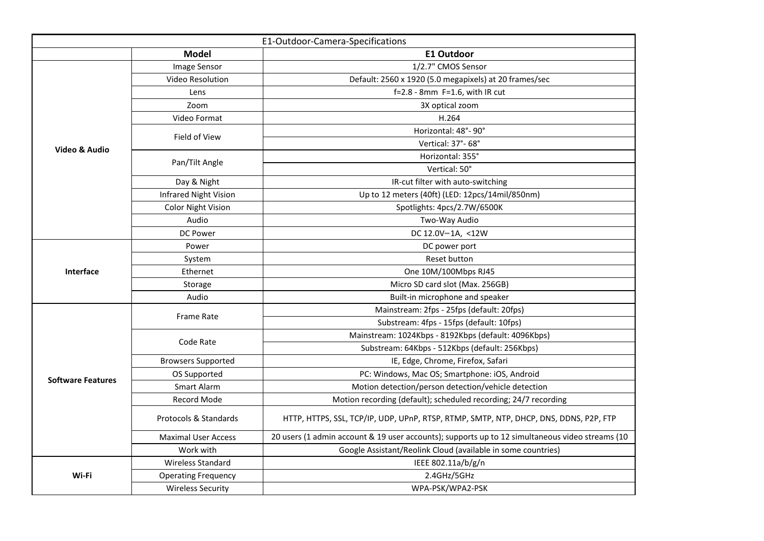| E1-Outdoor-Camera-Specifications |                              |                                                                                                 |  |
|----------------------------------|------------------------------|-------------------------------------------------------------------------------------------------|--|
|                                  | <b>Model</b>                 | <b>E1 Outdoor</b>                                                                               |  |
| <b>Video &amp; Audio</b>         | Image Sensor                 | 1/2.7" CMOS Sensor                                                                              |  |
|                                  | <b>Video Resolution</b>      | Default: 2560 x 1920 (5.0 megapixels) at 20 frames/sec                                          |  |
|                                  | Lens                         | $f=2.8$ - 8mm $F=1.6$ , with IR cut                                                             |  |
|                                  | Zoom                         | 3X optical zoom                                                                                 |  |
|                                  | <b>Video Format</b>          | H.264                                                                                           |  |
|                                  | Field of View                | Horizontal: 48°-90°                                                                             |  |
|                                  |                              | Vertical: 37°-68°                                                                               |  |
|                                  | Pan/Tilt Angle               | Horizontal: 355°                                                                                |  |
|                                  |                              | Vertical: 50°                                                                                   |  |
|                                  | Day & Night                  | IR-cut filter with auto-switching                                                               |  |
|                                  | <b>Infrared Night Vision</b> | Up to 12 meters (40ft) (LED: 12pcs/14mil/850nm)                                                 |  |
|                                  | <b>Color Night Vision</b>    | Spotlights: 4pcs/2.7W/6500K                                                                     |  |
|                                  | Audio                        | Two-Way Audio                                                                                   |  |
|                                  | <b>DC Power</b>              | DC 12.0V-1A, <12W                                                                               |  |
| Interface                        | Power                        | DC power port                                                                                   |  |
|                                  | System                       | <b>Reset button</b>                                                                             |  |
|                                  | Ethernet                     | One 10M/100Mbps RJ45                                                                            |  |
|                                  | Storage                      | Micro SD card slot (Max. 256GB)                                                                 |  |
|                                  | Audio                        | Built-in microphone and speaker                                                                 |  |
|                                  | <b>Frame Rate</b>            | Mainstream: 2fps - 25fps (default: 20fps)                                                       |  |
| <b>Software Features</b>         |                              | Substream: 4fps - 15fps (default: 10fps)                                                        |  |
|                                  | Code Rate                    | Mainstream: 1024Kbps - 8192Kbps (default: 4096Kbps)                                             |  |
|                                  |                              | Substream: 64Kbps - 512Kbps (default: 256Kbps)                                                  |  |
|                                  | <b>Browsers Supported</b>    | IE, Edge, Chrome, Firefox, Safari                                                               |  |
|                                  | OS Supported                 | PC: Windows, Mac OS; Smartphone: iOS, Android                                                   |  |
|                                  | Smart Alarm                  | Motion detection/person detection/vehicle detection                                             |  |
|                                  | <b>Record Mode</b>           | Motion recording (default); scheduled recording; 24/7 recording                                 |  |
|                                  | Protocols & Standards        | HTTP, HTTPS, SSL, TCP/IP, UDP, UPnP, RTSP, RTMP, SMTP, NTP, DHCP, DNS, DDNS, P2P, FTP           |  |
|                                  | <b>Maximal User Access</b>   | 20 users (1 admin account & 19 user accounts); supports up to 12 simultaneous video streams (10 |  |
|                                  | Work with                    | Google Assistant/Reolink Cloud (available in some countries)                                    |  |
|                                  | <b>Wireless Standard</b>     | IEEE 802.11a/b/g/n                                                                              |  |
| Wi-Fi                            | <b>Operating Frequency</b>   | 2.4GHz/5GHz                                                                                     |  |
|                                  | <b>Wireless Security</b>     | WPA-PSK/WPA2-PSK                                                                                |  |